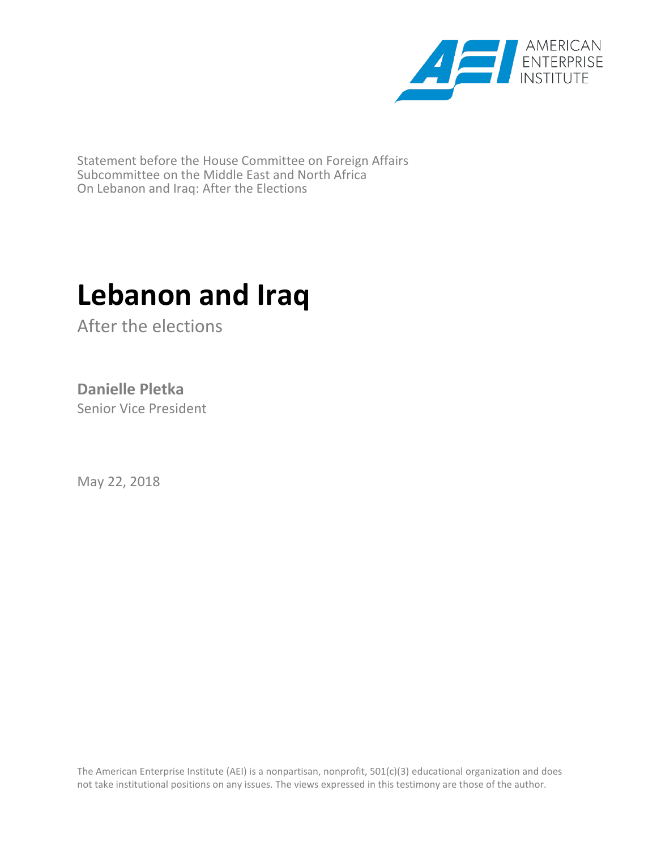

Statement before the House Committee on Foreign Affairs Subcommittee on the Middle East and North Africa On Lebanon and Iraq: After the Elections

## **Lebanon and Iraq**

After the elections

## **Danielle Pletka**

Senior Vice President

May 22, 2018

The American Enterprise Institute (AEI) is a nonpartisan, nonprofit, 501(c)(3) educational organization and does not take institutional positions on any issues. The views expressed in this testimony are those of the author.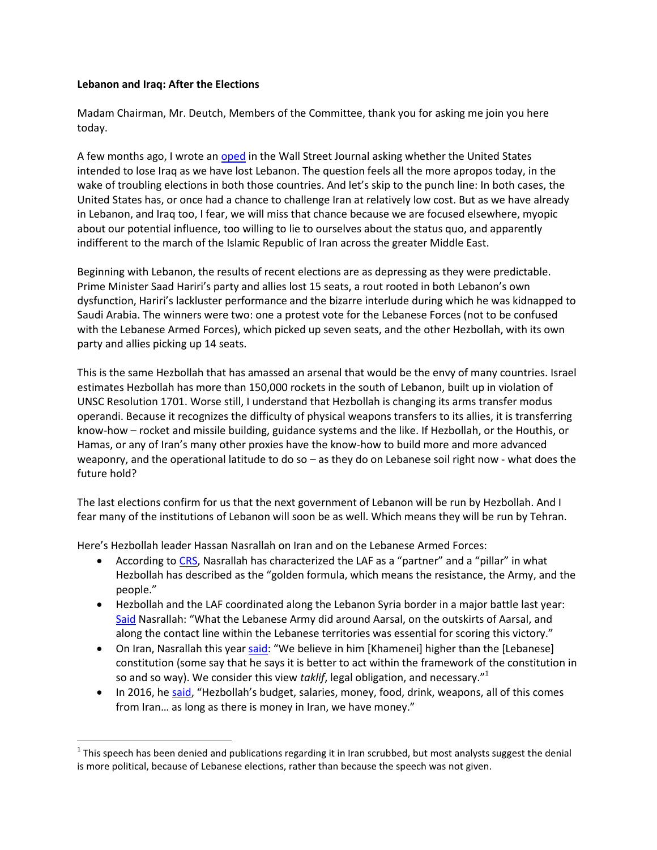## **Lebanon and Iraq: After the Elections**

l

Madam Chairman, Mr. Deutch, Members of the Committee, thank you for asking me join you here today.

A few months ago, I wrote an [oped](https://www.wsj.com/articles/iran-won-in-lebanon-what-about-iraq-1498518304) in the Wall Street Journal asking whether the United States intended to lose Iraq as we have lost Lebanon. The question feels all the more apropos today, in the wake of troubling elections in both those countries. And let's skip to the punch line: In both cases, the United States has, or once had a chance to challenge Iran at relatively low cost. But as we have already in Lebanon, and Iraq too, I fear, we will miss that chance because we are focused elsewhere, myopic about our potential influence, too willing to lie to ourselves about the status quo, and apparently indifferent to the march of the Islamic Republic of Iran across the greater Middle East.

Beginning with Lebanon, the results of recent elections are as depressing as they were predictable. Prime Minister Saad Hariri's party and allies lost 15 seats, a rout rooted in both Lebanon's own dysfunction, Hariri's lackluster performance and the bizarre interlude during which he was kidnapped to Saudi Arabia. The winners were two: one a protest vote for the Lebanese Forces (not to be confused with the Lebanese Armed Forces), which picked up seven seats, and the other Hezbollah, with its own party and allies picking up 14 seats.

This is the same Hezbollah that has amassed an arsenal that would be the envy of many countries. Israel estimates Hezbollah has more than 150,000 rockets in the south of Lebanon, built up in violation of UNSC Resolution 1701. Worse still, I understand that Hezbollah is changing its arms transfer modus operandi. Because it recognizes the difficulty of physical weapons transfers to its allies, it is transferring know-how – rocket and missile building, guidance systems and the like. If Hezbollah, or the Houthis, or Hamas, or any of Iran's many other proxies have the know-how to build more and more advanced weaponry, and the operational latitude to do so – as they do on Lebanese soil right now - what does the future hold?

The last elections confirm for us that the next government of Lebanon will be run by Hezbollah. And I fear many of the institutions of Lebanon will soon be as well. Which means they will be run by Tehran.

Here's Hezbollah leader Hassan Nasrallah on Iran and on the Lebanese Armed Forces:

- According to [CRS,](https://fas.org/sgp/crs/mideast/R44759.pdf) Nasrallah has characterized the LAF as a "partner" and a "pillar" in what Hezbollah has described as the "golden formula, which means the resistance, the Army, and the people."
- Hezbollah and the LAF coordinated along the Lebanon Syria border in a major battle last year: [Said](https://www.everycrsreport.com/files/20170920_R44759_b7dbe368d6db6bfa498d9db530fbae8b79c31a63.html) Nasrallah: "What the Lebanese Army did around Aarsal, on the outskirts of Aarsal, and along the contact line within the Lebanese territories was essential for scoring this victory."
- On Iran, Nasrallah this yea[r said](http://www.terrorism-info.org.il/en/iranian-website-published-speech-delivered-hezbollah-secretary-general-closed-forum-expressing-total-devotion-irans-supreme-leader-similar-statements-issued-previously-h/): "We believe in him [Khamenei] higher than the [Lebanese] constitution (some say that he says it is better to act within the framework of the constitution in so and so way). We consider this view *taklif*, legal obligation, and necessary."<sup>1</sup>
- In 2016, he [said,](/private/var/folders/_c/4tr6_1bs0kb8q0wjb115cqrc0000gq/T/com.microsoft.Outlook/Outlook%20Temp/) "Hezbollah's budget, salaries, money, food, drink, weapons, all of this comes from Iran… as long as there is money in Iran, we have money."

 $1$ This speech has been denied and publications regarding it in Iran scrubbed, but most analysts suggest the denial is more political, because of Lebanese elections, rather than because the speech was not given.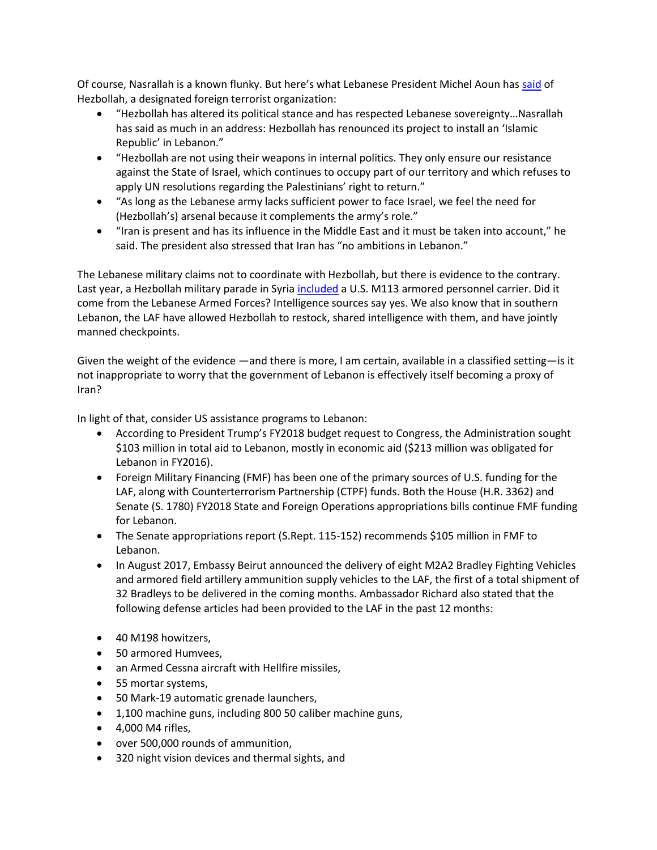Of course, Nasrallah is a known flunky. But here's what Lebanese President Michel Aoun has [said](https://www.jpost.com/Arab-Israeli-Conflict/Lebanese-president-No-Hezbollah-disarmament-while-Israel-violates-international-law-505744) of Hezbollah, a designated foreign terrorist organization:

- "Hezbollah has altered its political stance and has respected Lebanese sovereignty…Nasrallah has said as much in an address: Hezbollah has renounced its project to install an 'Islamic Republic' in Lebanon."
- "Hezbollah are not using their weapons in internal politics. They only ensure our resistance against the State of Israel, which continues to occupy part of our territory and which refuses to apply UN resolutions regarding the Palestinians' right to return."
- "As long as the Lebanese army lacks sufficient power to face Israel, we feel the need for (Hezbollah's) arsenal because it complements the army's role."
- "Iran is present and has its influence in the Middle East and it must be taken into account," he said. The president also stressed that Iran has "no ambitions in Lebanon."

The Lebanese military claims not to coordinate with Hezbollah, but there is evidence to the contrary. Last year, a Hezbollah military parade in Syria [included](https://www.washingtonpost.com/news/checkpoint/wp/2016/11/16/hezbollah-has-u-s-armored-personnel-carriers-but-how-did-they-get-them/?noredirect=on&utm_term=.195c0ac1274f) a U.S. M113 armored personnel carrier. Did it come from the Lebanese Armed Forces? Intelligence sources say yes. We also know that in southern Lebanon, the LAF have allowed Hezbollah to restock, shared intelligence with them, and have jointly manned checkpoints.

Given the weight of the evidence —and there is more, I am certain, available in a classified setting—is it not inappropriate to worry that the government of Lebanon is effectively itself becoming a proxy of Iran?

In light of that, consider US assistance programs to Lebanon:

- According to President Trump's FY2018 budget request to Congress, the Administration sought \$103 million in total aid to Lebanon, mostly in economic aid (\$213 million was obligated for Lebanon in FY2016).
- Foreign Military Financing (FMF) has been one of the primary sources of U.S. funding for the LAF, along with Counterterrorism Partnership (CTPF) funds. Both the House (H.R. 3362) and Senate (S. 1780) FY2018 State and Foreign Operations appropriations bills continue FMF funding for Lebanon.
- The Senate appropriations report (S.Rept. 115-152) recommends \$105 million in FMF to Lebanon.
- In August 2017, Embassy Beirut announced the delivery of eight M2A2 Bradley Fighting Vehicles and armored field artillery ammunition supply vehicles to the LAF, the first of a total shipment of 32 Bradleys to be delivered in the coming months. Ambassador Richard also stated that the following defense articles had been provided to the LAF in the past 12 months:
- 40 M198 howitzers,
- 50 armored Humvees,
- an Armed Cessna aircraft with Hellfire missiles,
- 55 mortar systems,
- 50 Mark-19 automatic grenade launchers,
- 1,100 machine guns, including 800 50 caliber machine guns,
- $\bullet$  4.000 M4 rifles.
- over 500,000 rounds of ammunition,
- 320 night vision devices and thermal sights, and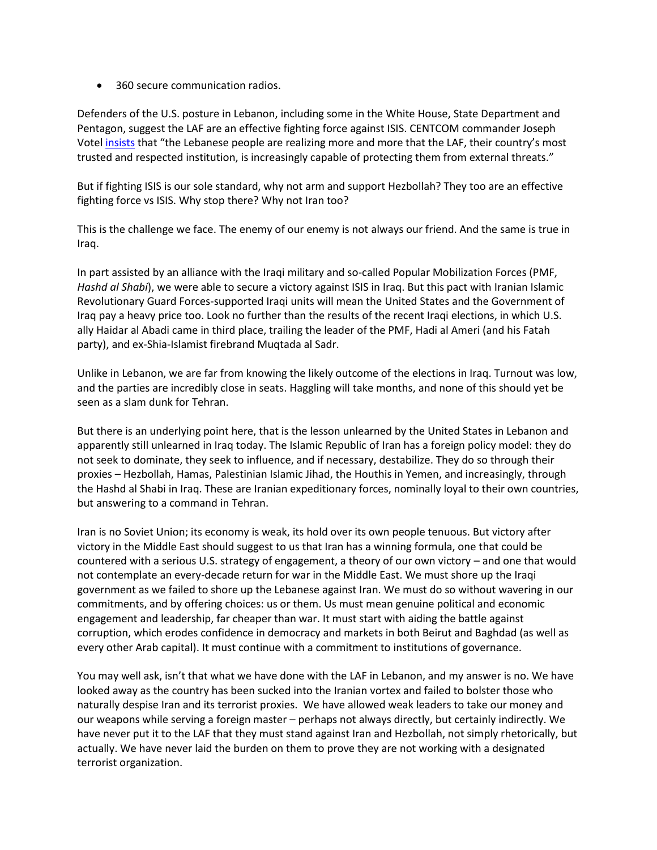• 360 secure communication radios.

Defenders of the U.S. posture in Lebanon, including some in the White House, State Department and Pentagon, suggest the LAF are an effective fighting force against ISIS. CENTCOM commander Joseph Votel [insists](http://www.centcom.mil/ABOUT-US/POSTURE-STATEMENT/) that "the Lebanese people are realizing more and more that the LAF, their country's most trusted and respected institution, is increasingly capable of protecting them from external threats."

But if fighting ISIS is our sole standard, why not arm and support Hezbollah? They too are an effective fighting force vs ISIS. Why stop there? Why not Iran too?

This is the challenge we face. The enemy of our enemy is not always our friend. And the same is true in Iraq.

In part assisted by an alliance with the Iraqi military and so-called Popular Mobilization Forces (PMF, *Hashd al Shabi*), we were able to secure a victory against ISIS in Iraq. But this pact with Iranian Islamic Revolutionary Guard Forces-supported Iraqi units will mean the United States and the Government of Iraq pay a heavy price too. Look no further than the results of the recent Iraqi elections, in which U.S. ally Haidar al Abadi came in third place, trailing the leader of the PMF, Hadi al Ameri (and his Fatah party), and ex-Shia-Islamist firebrand Muqtada al Sadr.

Unlike in Lebanon, we are far from knowing the likely outcome of the elections in Iraq. Turnout was low, and the parties are incredibly close in seats. Haggling will take months, and none of this should yet be seen as a slam dunk for Tehran.

But there is an underlying point here, that is the lesson unlearned by the United States in Lebanon and apparently still unlearned in Iraq today. The Islamic Republic of Iran has a foreign policy model: they do not seek to dominate, they seek to influence, and if necessary, destabilize. They do so through their proxies – Hezbollah, Hamas, Palestinian Islamic Jihad, the Houthis in Yemen, and increasingly, through the Hashd al Shabi in Iraq. These are Iranian expeditionary forces, nominally loyal to their own countries, but answering to a command in Tehran.

Iran is no Soviet Union; its economy is weak, its hold over its own people tenuous. But victory after victory in the Middle East should suggest to us that Iran has a winning formula, one that could be countered with a serious U.S. strategy of engagement, a theory of our own victory – and one that would not contemplate an every-decade return for war in the Middle East. We must shore up the Iraqi government as we failed to shore up the Lebanese against Iran. We must do so without wavering in our commitments, and by offering choices: us or them. Us must mean genuine political and economic engagement and leadership, far cheaper than war. It must start with aiding the battle against corruption, which erodes confidence in democracy and markets in both Beirut and Baghdad (as well as every other Arab capital). It must continue with a commitment to institutions of governance.

You may well ask, isn't that what we have done with the LAF in Lebanon, and my answer is no. We have looked away as the country has been sucked into the Iranian vortex and failed to bolster those who naturally despise Iran and its terrorist proxies. We have allowed weak leaders to take our money and our weapons while serving a foreign master – perhaps not always directly, but certainly indirectly. We have never put it to the LAF that they must stand against Iran and Hezbollah, not simply rhetorically, but actually. We have never laid the burden on them to prove they are not working with a designated terrorist organization.